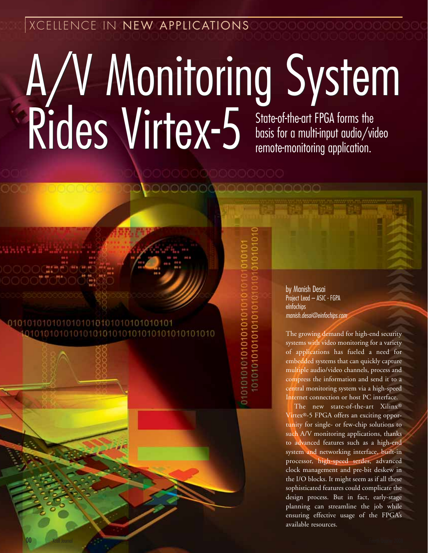XCELLENCE IN NEW APPLICATIONS

# A/V Monitoring System Rides Virtex-5 A/V Monitoring System Rides Virtex-5 State-of-the-art FPGA forms the basis for a multi-input audio/videors. basis for a multi-input audio/video remote-monitoring application.

### 0101010101010101010101010101010101 010101010101010101010101010101010101010

01010101010101010101 0101010101010101

00 Xcell Journal Fourth Quarter 2008

by Manish Desai Project Lead – ASIC - FGPA eInfochips manish.desai@einfochips.com

The growing demand for high-end security systems with video monitoring for a variety of applications has fueled a need for embedded systems that can quickly capture multiple audio/video channels, process and compress the information and send it to a central monitoring system via a high-speed Internet connection or host PC interface.

The new state-of-the-art Xilinx® Virtex®-5 FPGA offers an exciting opportunity for single- or few-chip solutions to such A/V monitoring applications, thanks to advanced features such as a high-end system and networking interface, built-in processor, high-speed serdes, advanced clock management and pre-bit deskew in the I/O blocks. It might seem as if all these sophisticated features could complicate the design process. But in fact, early-stage planning can streamline the job while ensuring effective usage of the FPGA's available resources.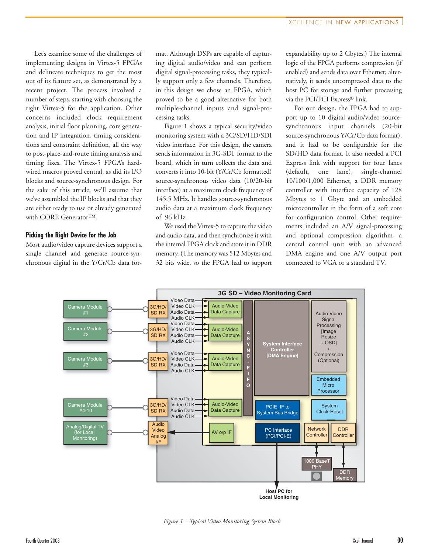Let's examine some of the challenges of implementing designs in Virtex-5 FPGAs and delineate techniques to get the most out of its feature set, as demonstrated by a recent project. The process involved a number of steps, starting with choosing the right Virtex-5 for the application. Other concerns included clock requirement analysis, initial floor planning, core generation and IP integration, timing considerations and constraint definition, all the way to post-place-and-route timing analysis and timing fixes. The Virtex-5 FPGA's hardwired macros proved central, as did its I/O blocks and source-synchronous design. For the sake of this article, we'll assume that we've assembled the IP blocks and that they are either ready to use or already generated with CORE Generator™.

#### **Picking the Right Device for the Job**

Most audio/video capture devices support a single channel and generate source-synchronous digital in the Y/Cr/Cb data format. Although DSPs are capable of capturing digital audio/video and can perform digital signal-processing tasks, they typically support only a few channels. Therefore, in this design we chose an FPGA, which proved to be a good alternative for both multiple-channel inputs and signal-processing tasks.

Figure 1 shows a typical security/video monitoring system with a 3G/SD/HD/SDI video interface. For this design, the camera sends information in 3G-SDI format to the board, which in turn collects the data and converts it into 10-bit (Y/Cr/Cb formatted) source-synchronous video data (10/20-bit interface) at a maximum clock frequency of 145.5 MHz. It handles source-synchronous audio data at a maximum clock frequency of 96 kHz.

We used the Virtex-5 to capture the video and audio data, and then synchronize it with the internal FPGA clock and store it in DDR memory. (The memory was 512 Mbytes and 32 bits wide, so the FPGA had to support expandability up to 2 Gbytes.) The internal logic of the FPGA performs compression (if enabled) and sends data over Ethernet; alternatively, it sends uncompressed data to the host PC for storage and further processing via the PCI/PCI Express® link.

For our design, the FPGA had to support up to 10 digital audio/video sourcesynchronous input channels (20-bit source-synchronous Y/Cr/Cb data format), and it had to be configurable for the SD/HD data format. It also needed a PCI Express link with support for four lanes (default, one lane), single-channel 10/100/1,000 Ethernet, a DDR memory controller with interface capacity of 128 Mbytes to 1 Gbyte and an embedded microcontroller in the form of a soft core for configuration control. Other requirements included an A/V signal-processing and optional compression algorithm, a central control unit with an advanced DMA engine and one A/V output port connected to VGA or a standard TV.



*Figure 1 – Typical Video Monitoring System Block*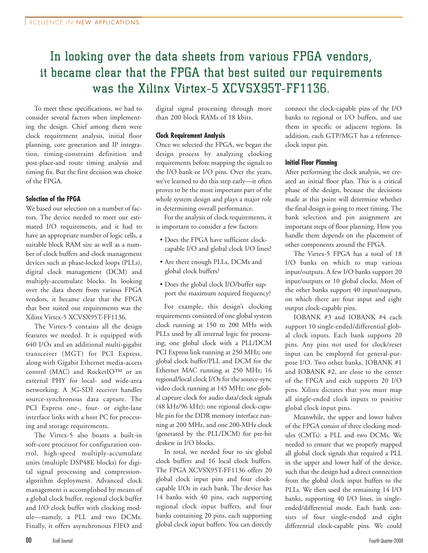## In looking over the data sheets from various FPGA vendors, it became clear that the FPGA that best suited our requirements was the Xilinx Virtex-5 XCVSX95T-FF1136.

To meet these specifications, we had to consider several factors when implementing the design. Chief among them were clock requirement analysis, initial floor planning, core generation and IP integration, timing-constraint definition and post-place-and route timing analysis and timing fix. But the first decision was choice of the FPGA.

### **Selection of the FPGA**

We based our selection on a number of factors. The device needed to meet our estimated I/O requirements, and it had to have an appropriate number of logic cells, a suitable block RAM size as well as a number of clock buffers and clock management devices such as phase-locked loops (PLLs), digital clock management (DCM) and multiply-accumulate blocks. In looking over the data sheets from various FPGA vendors, it became clear that the FPGA that best suited our requirements was the Xilinx Virtex-5 XCVSX95T-FF1136.

The Virtex-5 contains all the design features we needed. It is equipped with 640 I/Os and an additional multi-gigabit transceiver (MGT) for PCI Express, along with Gigabit Ethernet media-access control (MAC) and RocketIO™ or an external PHY for local- and wide-area networking. A 3G-SDI receiver handles source-synchronous data capture. The PCI Express one-, four- or eight-lane interface links with a host PC for processing and storage requirements.

The Virtex-5 also boasts a built-in soft-core processor for configuration control, high-speed multiply-accumulate units (multiple DSP48E blocks) for digital signal processing and compressionalgorithm deployment. Advanced clock management is accomplished by means of a global clock buffer, regional clock buffer and I/O clock buffer with clocking module—namely, a PLL and two DCMs. Finally, it offers asynchronous FIFO and digital signal processing through more than 200 block RAMs of 18 kbits.

#### **Clock Requirement Analysis**

Once we selected the FPGA, we began the design process by analyzing clocking requirements before mapping the signals to the I/O bank or I/O pins. Over the years, we've learned to do this step early—it often proves to be the most important part of the whole system design and plays a major role in determining overall performance.

For the analysis of clock requirements, it is important to consider a few factors:

- Does the FPGA have sufficient clockcapable I/O and global clock I/O lines?
- Are there enough PLLs, DCMs and global clock buffers?
- Does the global clock I/O/buffer support the maximum required frequency?

For example, this design's clocking requirements consisted of one global system clock running at 150 to 200 MHz with PLLs used by all internal logic for processing; one global clock with a PLL/DCM PCI Express link running at 250 MHz; one global clock buffer/PLL and DCM for the Ethernet MAC running at 250 MHz; 16 regional/local clock I/Os for the source-sync video clock running at 145 MHz; one global capture clock for audio data/clock signals (48 kHz/96 kHz); one regional clock-capable pin for the DDR memory interface running at 200 MHz, and one 200-MHz clock (generated by the PLL/DCM) for pre-bit deskew in I/O blocks.

In total, we needed four to six global clock buffers and 16 local clock buffers. The FPGA XCVSX95T-FF1136 offers 20 global clock input pins and four clockcapable I/Os in each bank. The device has 14 banks with 40 pins, each supporting regional clock input buffers, and four banks containing 20 pins, each supporting global clock input buffers. You can directly connect the clock-capable pins of the I/O banks to regional or I/O buffers, and use them in specific or adjacent regions. In addition, each GTP/MGT has a referenceclock input pin.

#### **Initial Floor Planning**

After performing the clock analysis, we created an initial floor plan. This is a critical phase of the design, because the decisions made at this point will determine whether the final design is going to meet timing. The bank selection and pin assignment are important steps of floor planning. How you handle them depends on the placement of other components around the FPGA.

The Virtex-5 FPGA has a total of 18 I/O banks on which to map various input/outputs. A few I/O banks support 20 input/outputs or 10 global clocks. Most of the other banks support 40 input/outputs, on which there are four input and eight output clock-capable pins.

IOBANK #3 and IOBANK #4 each support 10 single-ended/differential global clock inputs. Each bank supports 20 pins. Any pins not used for clock/reset input can be employed for general-purpose I/O. Two other banks, IOBANK #1 and IOBANK #2, are close to the center of the FPGA and each supports 20 I/O pins. Xilinx dictates that you must map all single-ended clock inputs to positive global clock input pins.

Meanwhile, the upper and lower halves of the FPGA consist of three clocking modules (CMTs): a PLL and two DCMs. We needed to ensure that we properly mapped all global clock signals that required a PLL in the upper and lower half of the device, such that the design had a direct connection from the global clock input buffers to the PLLs. We then used the remaining 14 I/O banks, supporting 40 I/O lines, in singleended/differential mode. Each bank consists of four single-ended and eight differential clock-capable pins. We could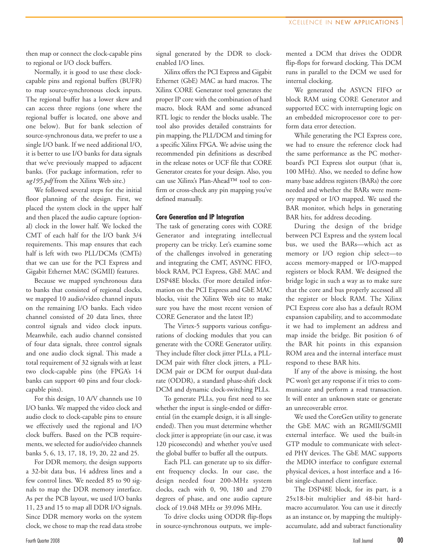then map or connect the clock-capable pins to regional or I/O clock buffers.

Normally, it is good to use these clockcapable pins and regional buffers (BUFR) to map source-synchronous clock inputs. The regional buffer has a lower skew and can access three regions (one where the regional buffer is located, one above and one below). But for bank selection of source-synchronous data, we prefer to use a single I/O bank. If we need additional I/O, it is better to use I/O banks for data signals that we've previously mapped to adjacent banks. (For package information, refer to *ug195.pdf* from the Xilinx Web site.)

We followed several steps for the initial floor planning of the design. First, we placed the system clock in the upper half and then placed the audio capture (optional) clock in the lower half. We locked the CMT of each half for the I/O bank 3/4 requirements. This map ensures that each half is left with two PLL/DCMs (CMTs) that we can use for the PCI Express and Gigabit Ethernet MAC (SGMII) features.

Because we mapped synchronous data to banks that consisted of regional clocks, we mapped 10 audio/video channel inputs on the remaining I/O banks. Each video channel consisted of 20 data lines, three control signals and video clock inputs. Meanwhile, each audio channel consisted of four data signals, three control signals and one audio clock signal. This made a total requirement of 32 signals with at least two clock-capable pins (the FPGA's 14 banks can support 40 pins and four clockcapable pins).

For this design, 10 A/V channels use 10 I/O banks. We mapped the video clock and audio clock to clock-capable pins to ensure we effectively used the regional and I/O clock buffers. Based on the PCB requirements, we selected for audio/video channels banks 5, 6, 13, 17, 18, 19, 20, 22 and 25.

For DDR memory, the design supports a 32-bit data bus, 14 address lines and a few control lines. We needed 85 to 90 signals to map the DDR memory interface. As per the PCB layout, we used I/O banks 11, 23 and 15 to map all DDR I/O signals. Since DDR memory works on the system clock, we chose to map the read data strobe signal generated by the DDR to clockenabled I/O lines.

Xilinx offers the PCI Express and Gigabit Ethernet (GbE) MAC as hard macros. The Xilinx CORE Generator tool generates the proper IP core with the combination of hard macro, block RAM and some advanced RTL logic to render the blocks usable. The tool also provides detailed constraints for pin mapping, the PLL/DCM and timing for a specific Xilinx FPGA. We advise using the recommended pin definitions as described in the release notes or UCF file that CORE Generator creates for your design. Also, you can use Xilinx's Plan-Ahead™ tool to confirm or cross-check any pin mapping you've defined manually.

#### **Core Generation and IP Integration**

The task of generating cores with CORE Generator and integrating intellectual property can be tricky. Let's examine some of the challenges involved in generating and integrating the CMT, ASYNC FIFO, block RAM, PCI Express, GbE MAC and DSP48E blocks. (For more detailed information on the PCI Express and GbE MAC blocks, visit the Xilinx Web site to make sure you have the most recent version of CORE Generator and the latest IP.)

The Virtex-5 supports various configurations of clocking modules that you can generate with the CORE Generator utility. They include filter clock jitter PLLs, a PLL-DCM pair with filter clock jitters, a PLL-DCM pair or DCM for output dual-data rate (ODDR), a standard phase-shift clock DCM and dynamic clock-switching PLLs.

To generate PLLs, you first need to see whether the input is single-ended or differential (in the example design, it is all singleended). Then you must determine whether clock jitter is appropriate (in our case, it was 120 picoseconds) and whether you've used the global buffer to buffer all the outputs.

Each PLL can generate up to six different frequency clocks. In our case, the design needed four 200-MHz system clocks, each with 0, 90, 180 and 270 degrees of phase, and one audio capture clock of 19.048 MHz or 39.096 MHz.

To drive clocks using ODDR flip-flops in source-synchronous outputs, we implemented a DCM that drives the ODDR flip-flops for forward clocking. This DCM runs in parallel to the DCM we used for internal clocking.

We generated the ASYCN FIFO or block RAM using CORE Generator and supported ECC with interrupting logic on an embedded microprocessor core to perform data error detection.

While generating the PCI Express core, we had to ensure the reference clock had the same performance as the PC motherboard's PCI Express slot output (that is, 100 MHz). Also, we needed to define how many base address registers (BARs) the core needed and whether the BARs were memory mapped or I/O mapped. We used the BAR monitor, which helps in generating BAR hits, for address decoding.

During the design of the bridge between PCI Express and the system local bus, we used the BARs—which act as memory or I/O region chip select—to access memory-mapped or I/O-mapped registers or block RAM. We designed the bridge logic in such a way as to make sure that the core and bus properly accessed all the register or block RAM. The Xilinx PCI Express core also has a default ROM expansion capability, and to accommodate it we had to implement an address and map inside the bridge. Bit position 6 of the BAR hit points in this expansion ROM area and the internal interface must respond to these BAR hits.

If any of the above is missing, the host PC won't get any response if it tries to communicate and perform a read transaction. It will enter an unknown state or generate an unrecoverable error.

We used the CoreGen utility to generate the GbE MAC with an RGMII/SGMII external interface. We used the built-in GTP module to communicate with selected PHY devices. The GbE MAC supports the MDIO interface to configure external physical devices, a host interface and a 16 bit single-channel client interface.

The DSP48E block, for its part, is a 25x18-bit multiplier and 48-bit hardmacro accumulator. You can use it directly as an instance or, by mapping the multiplyaccumulate, add and subtract functionality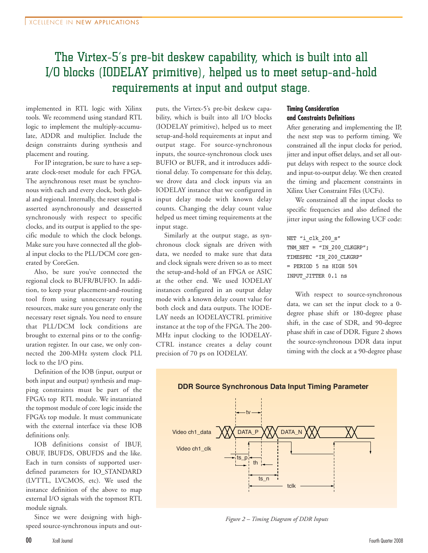## The Virtex-5's pre-bit deskew capability, which is built into all I/O blocks (IODELAY primitive), helped us to meet setup-and-hold requirements at input and output stage.

implemented in RTL logic with Xilinx tools. We recommend using standard RTL logic to implement the multiply-accumulate, ADDR and multiplier. Include the design constraints during synthesis and placement and routing.

For IP integration, be sure to have a separate clock-reset module for each FPGA. The asynchronous reset must be synchronous with each and every clock, both global and regional. Internally, the reset signal is asserted asynchronously and deasserted synchronously with respect to specific clocks, and its output is applied to the specific module to which the clock belongs. Make sure you have connected all the global input clocks to the PLL/DCM core generated by CoreGen.

Also, be sure you've connected the regional clock to BUFR/BUFIO. In addition, to keep your placement-and-routing tool from using unnecessary routing resources, make sure you generate only the necessary reset signals. You need to ensure that PLL/DCM lock conditions are brought to external pins or to the configuration register. In our case, we only connected the 200-MHz system clock PLL lock to the I/O pins.

Definition of the IOB (input, output or both input and output) synthesis and mapping constraints must be part of the FPGA's top RTL module. We instantiated the topmost module of core logic inside the FPGA's top module. It must communicate with the external interface via these IOB definitions only.

IOB definitions consist of IBUF, OBUF, IBUFDS, OBUFDS and the like. Each in turn consists of supported userdefined parameters for IO\_STANDARD (LVTTL, LVCMOS, etc). We used the instance definition of the above to map external I/O signals with the topmost RTL module signals.

Since we were designing with highspeed source-synchronous inputs and outputs, the Virtex-5's pre-bit deskew capability, which is built into all I/O blocks (IODELAY primitive), helped us to meet setup-and-hold requirements at input and output stage. For source-synchronous inputs, the source-synchronous clock uses BUFIO or BUFR, and it introduces additional delay. To compensate for this delay, we drove data and clock inputs via an IODELAY instance that we configured in input delay mode with known delay counts. Changing the delay count value helped us meet timing requirements at the input stage.

Similarly at the output stage, as synchronous clock signals are driven with data, we needed to make sure that data and clock signals were driven so as to meet the setup-and-hold of an FPGA or ASIC at the other end. We used IODELAY instances configured in an output delay mode with a known delay count value for both clock and data outputs. The IODE-LAY needs an IODELAYCTRL primitive instance at the top of the FPGA. The 200- MHz input clocking to the IODELAY-CTRL instance creates a delay count precision of 70 ps on IODELAY.

#### **Timing Consideration and Constraints Definitions**

After generating and implementing the IP, the next step was to perform timing. We constrained all the input clocks for period, jitter and input offset delays, and set all output delays with respect to the source clock and input-to-output delay. We then created the timing and placement constraints in Xilinx User Constraint Files (UCFs).

We constrained all the input clocks to specific frequencies and also defined the jitter input using the following UCF code:

NET "i\_clk\_200\_s" TNM\_NET = "IN\_200\_CLKGRP"; TIMESPEC "IN\_200\_CLKGRP" = PERIOD 5 ns HIGH 50% INPUT\_JITTER 0.1 ns

With respect to source-synchronous data, we can set the input clock to a 0 degree phase shift or 180-degree phase shift, in the case of SDR, and 90-degree phase shift in case of DDR. Figure 2 shows the source-synchronous DDR data input timing with the clock at a 90-degree phase



*Figure 2 – Timing Diagram of DDR Inputs*